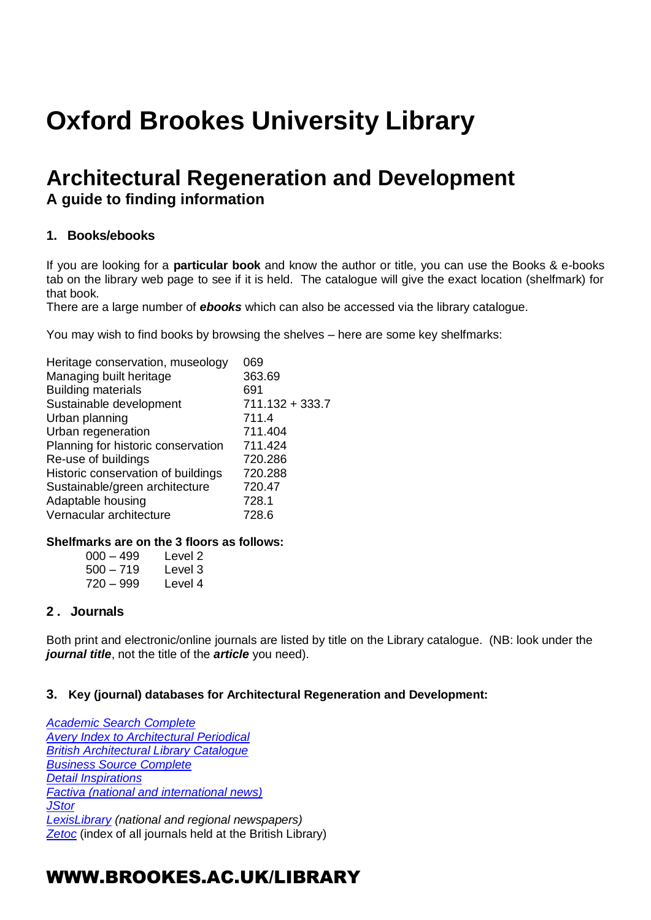# **Oxford Brookes University Library**

## **Architectural Regeneration and Development A guide to finding information**

### **1. Books/ebooks**

If you are looking for a **particular book** and know the author or title, you can use the Books & e-books tab on the library web page to see if it is held. The catalogue will give the exact location (shelfmark) for that book.

There are a large number of *ebooks* which can also be accessed via the library catalogue.

You may wish to find books by browsing the shelves – here are some key shelfmarks:

| Heritage conservation, museology   | 069             |
|------------------------------------|-----------------|
| Managing built heritage            | 363.69          |
| <b>Building materials</b>          | 691             |
| Sustainable development            | 711.132 + 333.7 |
| Urban planning                     | 711.4           |
| Urban regeneration                 | 711.404         |
| Planning for historic conservation | 711.424         |
| Re-use of buildings                | 720.286         |
| Historic conservation of buildings | 720.288         |
| Sustainable/green architecture     | 720.47          |
| Adaptable housing                  | 728.1           |
| Vernacular architecture            | 728.6           |

#### **Shelfmarks are on the 3 floors as follows:**

| $000 - 499$ | Level 2 |
|-------------|---------|
| $500 - 719$ | Level 3 |
| $720 - 999$ | Level 4 |

### **2 . Journals**

Both print and electronic/online journals are listed by title on the Library catalogue. (NB: look under the *journal title*, not the title of the *article* you need).

### **3. Key (journal) databases for Architectural Regeneration and Development:**

*[Academic Search Complete](http://opac.brookes.ac.uk/www-bin/ejnls?CN=S0017688OX) [Avery Index to Architectural Periodical](http://opac.brookes.ac.uk/www-bin/ejnls?CN=S0000365MP) [British Architectural Library Catalogue](http://opac.brookes.ac.uk/www-bin/ejnls?CN=S0005113OX) [Business Source Complete](http://opac.brookes.ac.uk/www-bin/ejnls?CN=S0014834OX) [Detail Inspirations](http://oxfordbrookes.idm.oclc.org/login?url=http://www.detail-online.com/inspiration) [Factiva \(national and international news\)](http://opac.brookes.ac.uk/www-bin/ejnls?CN=S0019043OX) [JStor](http://opac.brookes.ac.uk/www-bin/ejnls?CN=S0014960OX) [LexisLibrary](http://opac.brookes.ac.uk/www-bin/ejnls?CN=S0015922OX) (national and regional newspapers) [Zetoc](http://opac.brookes.ac.uk/www-bin/ejnls?CN=S0000998WA)* (index of all journals held at the British Library)

### WWW.BROOKES.AC.UK/LIBRARY